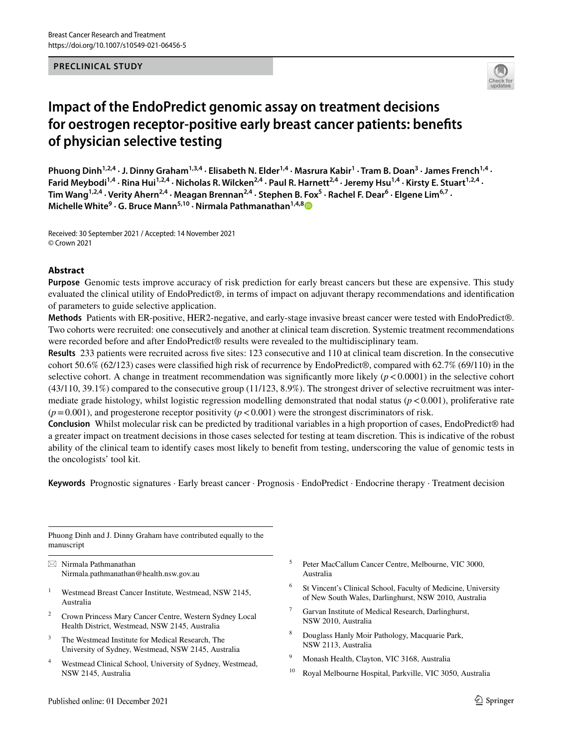### **PRECLINICAL STUDY**



# **Impact of the EndoPredict genomic assay on treatment decisions for oestrogen receptor‑positive early breast cancer patients: benefts of physician selective testing**

Phuong Dinh<sup>1,2,4</sup> · J. Dinny Graham<sup>1,3,4</sup> · Elisabeth N. Elder<sup>1,4</sup> · Masrura Kabir<sup>1</sup> · Tram B. Doan<sup>3</sup> · James French<sup>1,4</sup> · Farid Meybodi<sup>1,4</sup> · Rina Hui<sup>1,2,4</sup> · Nicholas R. Wilcken<sup>2,4</sup> · Paul R. Harnett<sup>2,4</sup> · Jeremy Hsu<sup>1,4</sup> · Kirsty E. Stuart<sup>1,2,4</sup> · Tim Wang<sup>1,2,4</sup> · Verity Ahern<sup>2,4</sup> · Meagan Brennan<sup>2,4</sup> · Stephen B. Fox<sup>5</sup> · Rachel F. Dear<sup>6</sup> · Elgene Lim<sup>6,7</sup> · **Michelle White9 · G. Bruce Mann5,10 · Nirmala Pathmanathan1,4,[8](http://orcid.org/0000-0001-9225-139X)**

Received: 30 September 2021 / Accepted: 14 November 2021 © Crown 2021

### **Abstract**

**Purpose** Genomic tests improve accuracy of risk prediction for early breast cancers but these are expensive. This study evaluated the clinical utility of EndoPredict®, in terms of impact on adjuvant therapy recommendations and identifcation of parameters to guide selective application.

**Methods** Patients with ER-positive, HER2-negative, and early-stage invasive breast cancer were tested with EndoPredict®. Two cohorts were recruited: one consecutively and another at clinical team discretion. Systemic treatment recommendations were recorded before and after EndoPredict<sup>®</sup> results were revealed to the multidisciplinary team.

**Results** 233 patients were recruited across fve sites: 123 consecutive and 110 at clinical team discretion. In the consecutive cohort 50.6% (62/123) cases were classifed high risk of recurrence by EndoPredict®, compared with 62.7% (69/110) in the selective cohort. A change in treatment recommendation was significantly more likely  $(p < 0.0001)$  in the selective cohort (43/110, 39.1%) compared to the consecutive group (11/123, 8.9%). The strongest driver of selective recruitment was intermediate grade histology, whilst logistic regression modelling demonstrated that nodal status  $(p<0.001)$ , proliferative rate  $(p=0.001)$ , and progesterone receptor positivity  $(p<0.001)$  were the strongest discriminators of risk.

**Conclusion** Whilst molecular risk can be predicted by traditional variables in a high proportion of cases, EndoPredict® had a greater impact on treatment decisions in those cases selected for testing at team discretion. This is indicative of the robust ability of the clinical team to identify cases most likely to beneft from testing, underscoring the value of genomic tests in the oncologists' tool kit.

Keywords Prognostic signatures · Early breast cancer · Prognosis · EndoPredict · Endocrine therapy · Treatment decision

Phuong Dinh and J. Dinny Graham have contributed equally to the manuscript

 $\boxtimes$  Nirmala Pathmanathan Nirmala.pathmanathan@health.nsw.gov.au

- <sup>1</sup> Westmead Breast Cancer Institute, Westmead, NSW 2145, Australia
- <sup>2</sup> Crown Princess Mary Cancer Centre, Western Sydney Local Health District, Westmead, NSW 2145, Australia
- <sup>3</sup> The Westmead Institute for Medical Research, The University of Sydney, Westmead, NSW 2145, Australia
- <sup>4</sup> Westmead Clinical School, University of Sydney, Westmead, NSW 2145, Australia
- <sup>5</sup> Peter MacCallum Cancer Centre, Melbourne, VIC 3000, Australia
- <sup>6</sup> St Vincent's Clinical School, Faculty of Medicine, University of New South Wales, Darlinghurst, NSW 2010, Australia
- Garvan Institute of Medical Research, Darlinghurst, NSW 2010, Australia
- <sup>8</sup> Douglass Hanly Moir Pathology, Macquarie Park, NSW 2113, Australia
- <sup>9</sup> Monash Health, Clayton, VIC 3168, Australia
- <sup>10</sup> Royal Melbourne Hospital, Parkville, VIC 3050, Australia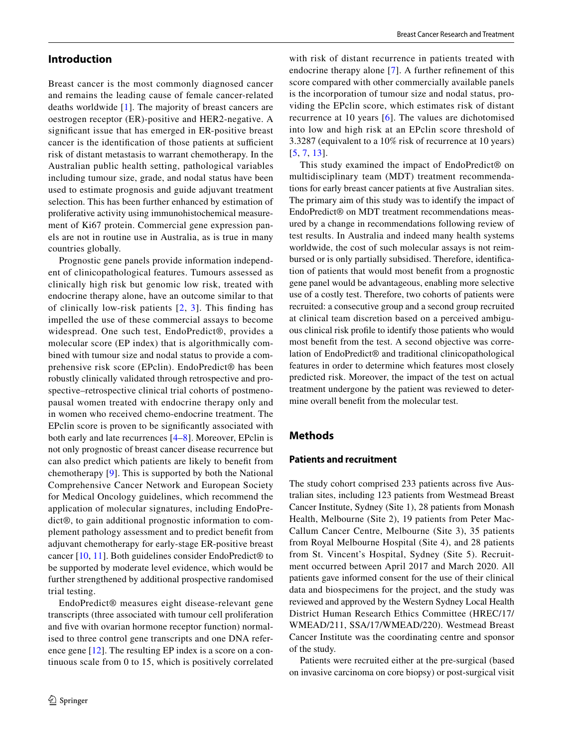# **Introduction**

Breast cancer is the most commonly diagnosed cancer and remains the leading cause of female cancer-related deaths worldwide [\[1](#page-9-0)]. The majority of breast cancers are oestrogen receptor (ER)-positive and HER2-negative. A signifcant issue that has emerged in ER-positive breast cancer is the identification of those patients at sufficient risk of distant metastasis to warrant chemotherapy. In the Australian public health setting, pathological variables including tumour size, grade, and nodal status have been used to estimate prognosis and guide adjuvant treatment selection. This has been further enhanced by estimation of proliferative activity using immunohistochemical measurement of Ki67 protein. Commercial gene expression panels are not in routine use in Australia, as is true in many countries globally.

Prognostic gene panels provide information independent of clinicopathological features. Tumours assessed as clinically high risk but genomic low risk, treated with endocrine therapy alone, have an outcome similar to that of clinically low-risk patients  $[2, 3]$  $[2, 3]$  $[2, 3]$  $[2, 3]$  $[2, 3]$ . This finding has impelled the use of these commercial assays to become widespread. One such test, EndoPredict®, provides a molecular score (EP index) that is algorithmically combined with tumour size and nodal status to provide a comprehensive risk score (EPclin). EndoPredict® has been robustly clinically validated through retrospective and prospective–retrospective clinical trial cohorts of postmenopausal women treated with endocrine therapy only and in women who received chemo-endocrine treatment. The EPclin score is proven to be signifcantly associated with both early and late recurrences [\[4](#page-9-3)–[8\]](#page-9-4). Moreover, EPclin is not only prognostic of breast cancer disease recurrence but can also predict which patients are likely to beneft from chemotherapy [[9\]](#page-9-5). This is supported by both the National Comprehensive Cancer Network and European Society for Medical Oncology guidelines, which recommend the application of molecular signatures, including EndoPredict®, to gain additional prognostic information to complement pathology assessment and to predict beneft from adjuvant chemotherapy for early-stage ER-positive breast cancer [\[10,](#page-9-6) [11\]](#page-9-7). Both guidelines consider EndoPredict® to be supported by moderate level evidence, which would be further strengthened by additional prospective randomised trial testing.

EndoPredict® measures eight disease-relevant gene transcripts (three associated with tumour cell proliferation and five with ovarian hormone receptor function) normalised to three control gene transcripts and one DNA reference gene [[12](#page-9-8)]. The resulting EP index is a score on a continuous scale from 0 to 15, which is positively correlated with risk of distant recurrence in patients treated with endocrine therapy alone [[7\]](#page-9-9). A further refnement of this score compared with other commercially available panels is the incorporation of tumour size and nodal status, providing the EPclin score, which estimates risk of distant recurrence at 10 years [[6\]](#page-9-10). The values are dichotomised into low and high risk at an EPclin score threshold of 3.3287 (equivalent to a 10% risk of recurrence at 10 years) [[5,](#page-9-11) [7](#page-9-9), [13\]](#page-9-12).

This study examined the impact of EndoPredict® on multidisciplinary team (MDT) treatment recommendations for early breast cancer patients at fve Australian sites. The primary aim of this study was to identify the impact of EndoPredict® on MDT treatment recommendations measured by a change in recommendations following review of test results. In Australia and indeed many health systems worldwide, the cost of such molecular assays is not reimbursed or is only partially subsidised. Therefore, identifcation of patients that would most beneft from a prognostic gene panel would be advantageous, enabling more selective use of a costly test. Therefore, two cohorts of patients were recruited: a consecutive group and a second group recruited at clinical team discretion based on a perceived ambiguous clinical risk profle to identify those patients who would most beneft from the test. A second objective was correlation of EndoPredict® and traditional clinicopathological features in order to determine which features most closely predicted risk. Moreover, the impact of the test on actual treatment undergone by the patient was reviewed to determine overall beneft from the molecular test.

# **Methods**

### **Patients and recruitment**

The study cohort comprised 233 patients across fve Australian sites, including 123 patients from Westmead Breast Cancer Institute, Sydney (Site 1), 28 patients from Monash Health, Melbourne (Site 2), 19 patients from Peter Mac-Callum Cancer Centre, Melbourne (Site 3), 35 patients from Royal Melbourne Hospital (Site 4), and 28 patients from St. Vincent's Hospital, Sydney (Site 5). Recruitment occurred between April 2017 and March 2020. All patients gave informed consent for the use of their clinical data and biospecimens for the project, and the study was reviewed and approved by the Western Sydney Local Health District Human Research Ethics Committee (HREC/17/ WMEAD/211, SSA/17/WMEAD/220). Westmead Breast Cancer Institute was the coordinating centre and sponsor of the study.

Patients were recruited either at the pre-surgical (based on invasive carcinoma on core biopsy) or post-surgical visit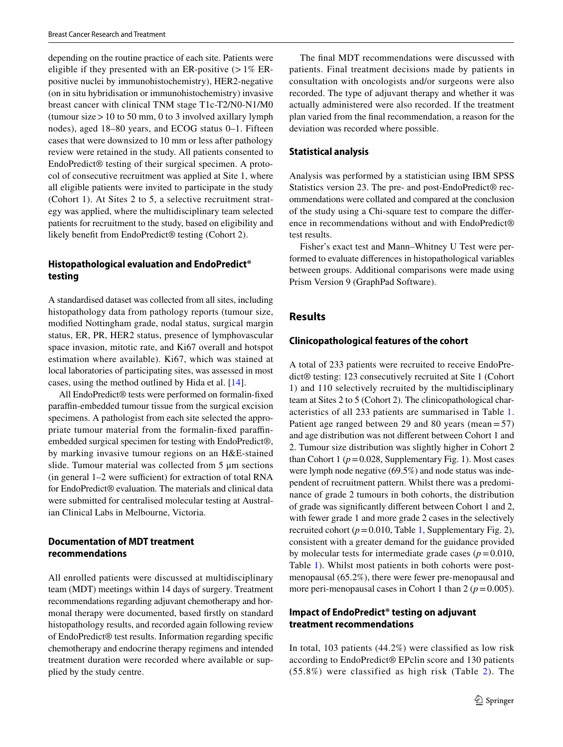depending on the routine practice of each site. Patients were eligible if they presented with an ER-positive  $(>1\%$  ERpositive nuclei by immunohistochemistry), HER2-negative (on in situ hybridisation or immunohistochemistry) invasive breast cancer with clinical TNM stage T1c-T2/N0-N1/M0 (tumour size  $> 10$  to 50 mm, 0 to 3 involved axillary lymph nodes), aged 18–80 years, and ECOG status 0–1. Fifteen cases that were downsized to 10 mm or less after pathology review were retained in the study. All patients consented to EndoPredict® testing of their surgical specimen. A protocol of consecutive recruitment was applied at Site 1, where all eligible patients were invited to participate in the study (Cohort 1). At Sites 2 to 5, a selective recruitment strategy was applied, where the multidisciplinary team selected patients for recruitment to the study, based on eligibility and likely beneft from EndoPredict® testing (Cohort 2).

# **Histopathological evaluation and EndoPredict® testing**

A standardised dataset was collected from all sites, including histopathology data from pathology reports (tumour size, modifed Nottingham grade, nodal status, surgical margin status, ER, PR, HER2 status, presence of lymphovascular space invasion, mitotic rate, and Ki67 overall and hotspot estimation where available). Ki67, which was stained at local laboratories of participating sites, was assessed in most cases, using the method outlined by Hida et al. [[14\]](#page-9-13).

All EndoPredict® tests were performed on formalin-fxed parafn-embedded tumour tissue from the surgical excision specimens. A pathologist from each site selected the appropriate tumour material from the formalin-fxed parafnembedded surgical specimen for testing with EndoPredict®, by marking invasive tumour regions on an H&E-stained slide. Tumour material was collected from 5 μm sections  $(in general 1–2 were sufficient) for extraction of total RNA$ for EndoPredict® evaluation. The materials and clinical data were submitted for centralised molecular testing at Australian Clinical Labs in Melbourne, Victoria.

# **Documentation of MDT treatment recommendations**

All enrolled patients were discussed at multidisciplinary team (MDT) meetings within 14 days of surgery. Treatment recommendations regarding adjuvant chemotherapy and hormonal therapy were documented, based frstly on standard histopathology results, and recorded again following review of EndoPredict® test results. Information regarding specifc chemotherapy and endocrine therapy regimens and intended treatment duration were recorded where available or supplied by the study centre.

The fnal MDT recommendations were discussed with patients. Final treatment decisions made by patients in consultation with oncologists and/or surgeons were also recorded. The type of adjuvant therapy and whether it was actually administered were also recorded. If the treatment plan varied from the fnal recommendation, a reason for the deviation was recorded where possible.

# **Statistical analysis**

Analysis was performed by a statistician using IBM SPSS Statistics version 23. The pre- and post-EndoPredict® recommendations were collated and compared at the conclusion of the study using a Chi-square test to compare the diference in recommendations without and with EndoPredict® test results.

Fisher's exact test and Mann–Whitney U Test were performed to evaluate diferences in histopathological variables between groups. Additional comparisons were made using Prism Version 9 (GraphPad Software).

# **Results**

# **Clinicopathological features of the cohort**

A total of 233 patients were recruited to receive EndoPredict® testing: 123 consecutively recruited at Site 1 (Cohort 1) and 110 selectively recruited by the multidisciplinary team at Sites 2 to 5 (Cohort 2). The clinicopathological characteristics of all 233 patients are summarised in Table [1.](#page-3-0) Patient age ranged between 29 and 80 years (mean=57) and age distribution was not diferent between Cohort 1 and 2. Tumour size distribution was slightly higher in Cohort 2 than Cohort 1 ( $p = 0.028$ , Supplementary Fig. 1). Most cases were lymph node negative (69.5%) and node status was independent of recruitment pattern. Whilst there was a predominance of grade 2 tumours in both cohorts, the distribution of grade was signifcantly diferent between Cohort 1 and 2, with fewer grade 1 and more grade 2 cases in the selectively recruited cohort ( $p = 0.010$ , Table [1](#page-3-0), Supplementary Fig. 2), consistent with a greater demand for the guidance provided by molecular tests for intermediate grade cases  $(p=0.010,$ Table [1](#page-3-0)). Whilst most patients in both cohorts were postmenopausal (65.2%), there were fewer pre-menopausal and more peri-menopausal cases in Cohort 1 than  $2 (p = 0.005)$ .

# **Impact of EndoPredict® testing on adjuvant treatment recommendations**

In total, 103 patients (44.2%) were classifed as low risk according to EndoPredict® EPclin score and 130 patients  $(55.8\%)$  were classified as high risk (Table [2](#page-4-0)). The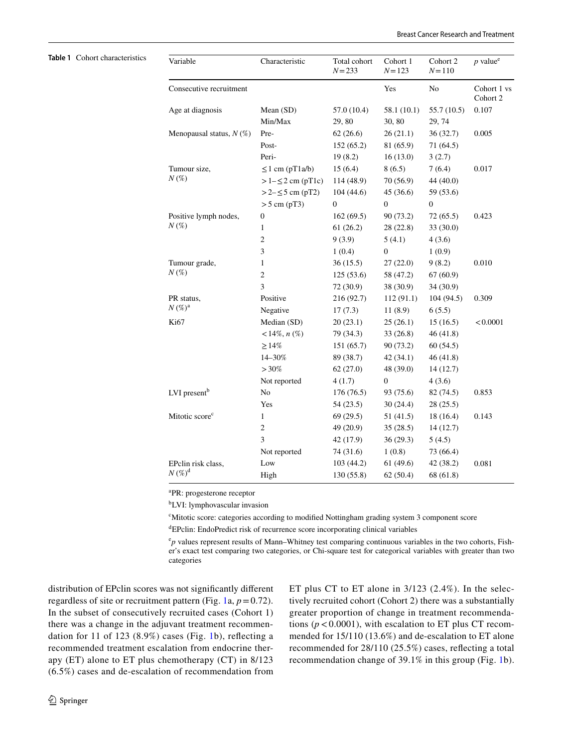### <span id="page-3-0"></span>**Table 1** Cohort characteristics

| Variable                              | Characteristic        | Total cohort<br>$N = 233$ | Cohort 1<br>$N = 123$ | Cohort 2<br>$N = 110$ | $p$ value <sup>e</sup>  |
|---------------------------------------|-----------------------|---------------------------|-----------------------|-----------------------|-------------------------|
| Consecutive recruitment               |                       |                           | Yes                   | No                    | Cohort 1 vs<br>Cohort 2 |
| Age at diagnosis                      | Mean (SD)             | 57.0 (10.4)               | 58.1(10.1)            | 55.7 (10.5)           | 0.107                   |
|                                       | Min/Max               | 29,80                     | 30, 80                | 29, 74                |                         |
| Menopausal status, $N(\%)$            | Pre-                  | 62(26.6)                  | 26(21.1)              | 36(32.7)              | 0.005                   |
|                                       | Post-                 | 152 (65.2)                | 81 (65.9)             | 71 (64.5)             |                         |
|                                       | Peri-                 | 19(8.2)                   | 16(13.0)              | 3(2.7)                |                         |
| Tumour size,<br>$N(\%)$               | $\leq 1$ cm (pT1a/b)  | 15(6.4)                   | 8(6.5)                | 7(6.4)                | 0.017                   |
|                                       | $>1-\leq 2$ cm (pT1c) | 114 (48.9)                | 70 (56.9)             | 44 (40.0)             |                         |
|                                       | $>2-\leq 5$ cm (pT2)  | 104(44.6)                 | 45(36.6)              | 59 (53.6)             |                         |
|                                       | $>$ 5 cm (pT3)        | $\boldsymbol{0}$          | $\overline{0}$        | $\boldsymbol{0}$      |                         |
| Positive lymph nodes,<br>$N(\%)$      | $\boldsymbol{0}$      | 162(69.5)                 | 90 (73.2)             | 72(65.5)              | 0.423                   |
|                                       | 1                     | 61(26.2)                  | 28 (22.8)             | 33 (30.0)             |                         |
|                                       | $\overline{c}$        | 9(3.9)                    | 5(4.1)                | 4(3.6)                |                         |
|                                       | 3                     | 1(0.4)                    | $\boldsymbol{0}$      | 1(0.9)                |                         |
| Tumour grade,<br>$N(\%)$              | $\mathbf{1}$          | 36(15.5)                  | 27(22.0)              | 9(8.2)                | 0.010                   |
|                                       | $\mathbf{2}$          | 125(53.6)                 | 58 (47.2)             | 67(60.9)              |                         |
|                                       | 3                     | 72 (30.9)                 | 38 (30.9)             | 34 (30.9)             |                         |
| PR status,<br>$N(\%)^{\rm a}$         | Positive              | 216 (92.7)                | 112 (91.1)            | 104(94.5)             | 0.309                   |
|                                       | Negative              | 17(7.3)                   | 11(8.9)               | 6(5.5)                |                         |
| Ki67                                  | Median (SD)           | 20(23.1)                  | 25(26.1)              | 15(16.5)              | < 0.0001                |
|                                       | $<14\%, n(\%)$        | 79 (34.3)                 | 33(26.8)              | 46 (41.8)             |                         |
|                                       | $\geq$ 14%            | 151(65.7)                 | 90 (73.2)             | 60(54.5)              |                         |
|                                       | 14-30%                | 89 (38.7)                 | 42(34.1)              | 46(41.8)              |                         |
|                                       | $>30\%$               | 62(27.0)                  | 48 (39.0)             | 14(12.7)              |                         |
|                                       | Not reported          | 4(1.7)                    | $\theta$              | 4(3.6)                |                         |
| LVI present <sup>b</sup>              | No                    | 176 (76.5)                | 93 (75.6)             | 82 (74.5)             | 0.853                   |
|                                       | Yes                   | 54 (23.5)                 | 30(24.4)              | 28(25.5)              |                         |
| Mitotic score <sup>c</sup>            | $\mathbf{1}$          | 69(29.5)                  | 51(41.5)              | 18 (16.4)             | 0.143                   |
|                                       | 2                     | 49 (20.9)                 | 35(28.5)              | 14(12.7)              |                         |
|                                       | 3                     | 42 (17.9)                 | 36(29.3)              | 5(4.5)                |                         |
|                                       | Not reported          | 74 (31.6)                 | 1(0.8)                | 73 (66.4)             |                         |
| EPclin risk class,<br>$N(\%)^{\rm d}$ | Low                   | 103 (44.2)                | 61(49.6)              | 42 (38.2)             | 0.081                   |
|                                       | High                  | 130(55.8)                 | 62(50.4)              | 68 (61.8)             |                         |

a PR: progesterone receptor

b LVI: lymphovascular invasion

c Mitotic score: categories according to modifed Nottingham grading system 3 component score

d EPclin: EndoPredict risk of recurrence score incorporating clinical variables

<sup>e</sup>p values represent results of Mann–Whitney test comparing continuous variables in the two cohorts, Fisher's exact test comparing two categories, or Chi-square test for categorical variables with greater than two categories

distribution of EPclin scores was not signifcantly diferent regardless of site or recruitment pattern (Fig. [1](#page-4-1)a,  $p = 0.72$ ). In the subset of consecutively recruited cases (Cohort 1) there was a change in the adjuvant treatment recommendation for 11 of 123 (8.9%) cases (Fig. [1b](#page-4-1)), refecting a recommended treatment escalation from endocrine therapy (ET) alone to ET plus chemotherapy (CT) in 8/123 (6.5%) cases and de-escalation of recommendation from ET plus CT to ET alone in 3/123 (2.4%). In the selectively recruited cohort (Cohort 2) there was a substantially greater proportion of change in treatment recommendations ( $p < 0.0001$ ), with escalation to ET plus CT recommended for 15/110 (13.6%) and de-escalation to ET alone recommended for 28/110 (25.5%) cases, refecting a total recommendation change of 39.1% in this group (Fig. [1](#page-4-1)b).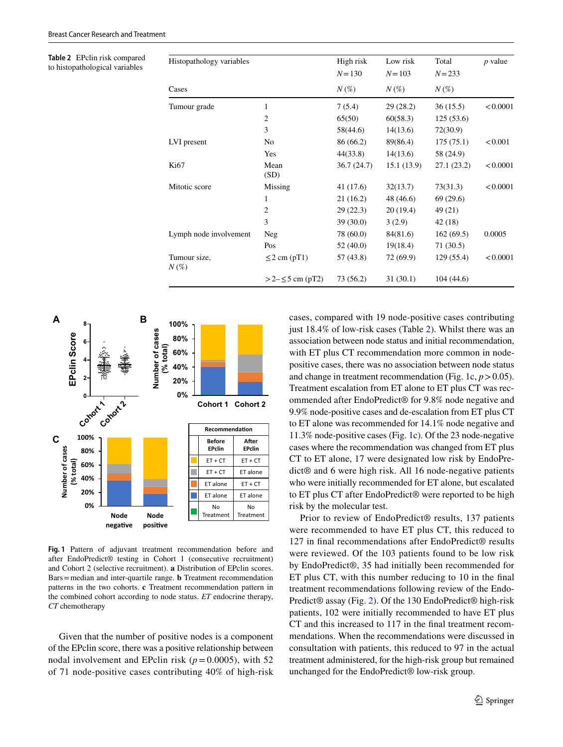<span id="page-4-0"></span>**Table 2** EPclin risk compared to histopathological variables

| Histopathology variables |                       | High risk<br>$N = 130$<br>$N(\%)$ | Low risk<br>$N = 103$<br>$N(\%)$ | Total<br>$N = 233$<br>$N(\%)$ | $p$ value |
|--------------------------|-----------------------|-----------------------------------|----------------------------------|-------------------------------|-----------|
|                          |                       |                                   |                                  |                               |           |
| Cases                    |                       |                                   |                                  |                               |           |
| Tumour grade             | 1                     | 7(5.4)                            | 29(28.2)                         | 36(15.5)                      | < 0.0001  |
|                          | $\overline{c}$        | 65(50)                            | 60(58.3)                         | 125(53.6)                     |           |
|                          | 3                     | 58(44.6)                          | 14(13.6)                         | 72(30.9)                      |           |
| LVI present              | No                    | 86 (66.2)                         | 89(86.4)                         | 175(75.1)                     | < 0.001   |
|                          | Yes                   | 44(33.8)                          | 14(13.6)                         | 58 (24.9)                     |           |
| Ki67                     | Mean<br>(SD)          | 36.7(24.7)                        | 15.1(13.9)                       | 27.1(23.2)                    | < 0.0001  |
| Mitotic score            | Missing               | 41 (17.6)                         | 32(13.7)                         | 73(31.3)                      | < 0.0001  |
|                          | 1                     | 21 (16.2)                         | 48 (46.6)                        | 69 (29.6)                     |           |
|                          | 2                     | 29(22.3)                          | 20(19.4)                         | 49 (21)                       |           |
|                          | 3                     | 39(30.0)                          | 3(2.9)                           | 42 (18)                       |           |
| Lymph node involvement   | Neg                   | 78 (60.0)                         | 84(81.6)                         | 162(69.5)                     | 0.0005    |
|                          | Pos                   | 52(40.0)                          | 19(18.4)                         | 71 (30.5)                     |           |
| Tumour size,<br>$N(\%)$  | $\leq$ 2 cm (pT1)     | 57 (43.8)                         | 72 (69.9)                        | 129(55.4)                     | < 0.0001  |
|                          | >2– $\leq$ 5 cm (pT2) | 73 (56.2)                         | 31(30.1)                         | 104(44.6)                     |           |



<span id="page-4-1"></span>**Fig. 1** Pattern of adjuvant treatment recommendation before and after EndoPredict® testing in Cohort 1 (consecutive recruitment) and Cohort 2 (selective recruitment). **a** Distribution of EPclin scores. Bars=median and inter-quartile range. **b** Treatment recommendation patterns in the two cohorts. **c** Treatment recommendation pattern in the combined cohort according to node status. *ET* endocrine therapy, *CT* chemotherapy

Given that the number of positive nodes is a component of the EPclin score, there was a positive relationship between nodal involvement and EPclin risk  $(p=0.0005)$ , with 52 of 71 node-positive cases contributing 40% of high-risk cases, compared with 19 node-positive cases contributing just 18.4% of low-risk cases (Table [2\)](#page-4-0). Whilst there was an association between node status and initial recommendation, with ET plus CT recommendation more common in nodepositive cases, there was no association between node status and change in treatment recommendation (Fig. [1c](#page-4-1),  $p > 0.05$ ). Treatment escalation from ET alone to ET plus CT was recommended after EndoPredict® for 9.8% node negative and 9.9% node-positive cases and de-escalation from ET plus CT to ET alone was recommended for 14.1% node negative and 11.3% node-positive cases (Fig. [1](#page-4-1)c). Of the 23 node-negative cases where the recommendation was changed from ET plus CT to ET alone, 17 were designated low risk by EndoPredict® and 6 were high risk. All 16 node-negative patients who were initially recommended for ET alone, but escalated to ET plus CT after EndoPredict® were reported to be high risk by the molecular test.

Prior to review of EndoPredict® results, 137 patients were recommended to have ET plus CT, this reduced to 127 in fnal recommendations after EndoPredict® results were reviewed. Of the 103 patients found to be low risk by EndoPredict®, 35 had initially been recommended for ET plus CT, with this number reducing to 10 in the fnal treatment recommendations following review of the Endo-Predict® assay (Fig. [2\)](#page-5-0). Of the 130 EndoPredict® high-risk patients, 102 were initially recommended to have ET plus CT and this increased to 117 in the fnal treatment recommendations. When the recommendations were discussed in consultation with patients, this reduced to 97 in the actual treatment administered, for the high-risk group but remained unchanged for the EndoPredict® low-risk group.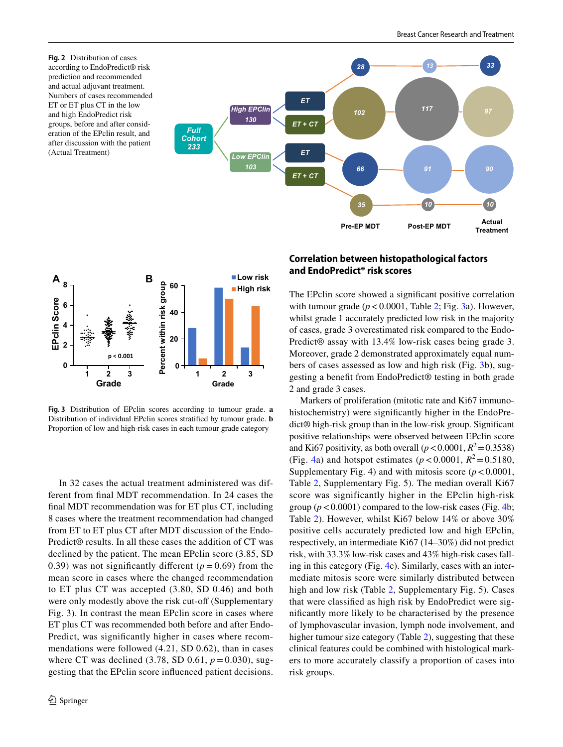<span id="page-5-0"></span>



<span id="page-5-1"></span>**Fig. 3** Distribution of EPclin scores according to tumour grade. **a** Distribution of individual EPclin scores stratifed by tumour grade. **b** Proportion of low and high-risk cases in each tumour grade category

In 32 cases the actual treatment administered was different from fnal MDT recommendation. In 24 cases the fnal MDT recommendation was for ET plus CT, including 8 cases where the treatment recommendation had changed from ET to ET plus CT after MDT discussion of the Endo-Predict® results. In all these cases the addition of CT was declined by the patient. The mean EPclin score (3.85, SD 0.39) was not significantly different  $(p=0.69)$  from the mean score in cases where the changed recommendation to ET plus CT was accepted (3.80, SD 0.46) and both were only modestly above the risk cut-off (Supplementary Fig. 3). In contrast the mean EPclin score in cases where ET plus CT was recommended both before and after Endo-Predict, was signifcantly higher in cases where recommendations were followed (4.21, SD 0.62), than in cases where CT was declined  $(3.78, SD\ 0.61, p = 0.030)$ , suggesting that the EPclin score infuenced patient decisions.

# **Correlation between histopathological factors and EndoPredict® risk scores**

The EPclin score showed a signifcant positive correlation with tumour grade  $(p < 0.0001$ , Table [2](#page-4-0); Fig. [3a](#page-5-1)). However, whilst grade 1 accurately predicted low risk in the majority of cases, grade 3 overestimated risk compared to the Endo-Predict® assay with 13.4% low-risk cases being grade 3. Moreover, grade 2 demonstrated approximately equal numbers of cases assessed as low and high risk (Fig. [3b](#page-5-1)), suggesting a beneft from EndoPredict® testing in both grade 2 and grade 3 cases.

Markers of proliferation (mitotic rate and Ki67 immunohistochemistry) were signifcantly higher in the EndoPredict® high-risk group than in the low-risk group. Signifcant positive relationships were observed between EPclin score and Ki67 positivity, as both overall  $(p < 0.0001, R^2 = 0.3538)$ (Fig. [4a](#page-6-0)) and hotspot estimates ( $p < 0.0001$ ,  $R^2 = 0.5180$ , Supplementary Fig. 4) and with mitosis score  $(p < 0.0001$ , Table [2](#page-4-0), Supplementary Fig. 5). The median overall Ki67 score was significantly higher in the EPclin high-risk group  $(p < 0.0001)$  compared to the low-risk cases (Fig. [4](#page-6-0)b; Table [2](#page-4-0)). However, whilst Ki67 below 14% or above 30% positive cells accurately predicted low and high EPclin, respectively, an intermediate Ki67 (14–30%) did not predict risk, with 33.3% low-risk cases and 43% high-risk cases falling in this category (Fig. [4c](#page-6-0)). Similarly, cases with an intermediate mitosis score were similarly distributed between high and low risk (Table [2](#page-4-0), Supplementary Fig. 5). Cases that were classifed as high risk by EndoPredict were signifcantly more likely to be characterised by the presence of lymphovascular invasion, lymph node involvement, and higher tumour size category (Table [2](#page-4-0)), suggesting that these clinical features could be combined with histological markers to more accurately classify a proportion of cases into risk groups.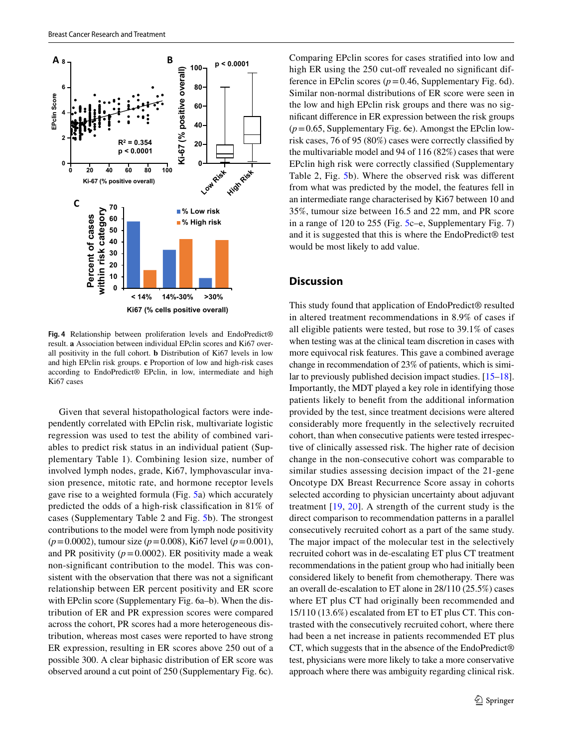

<span id="page-6-0"></span>**Fig. 4** Relationship between proliferation levels and EndoPredict® result. **a** Association between individual EPclin scores and Ki67 overall positivity in the full cohort. **b** Distribution of Ki67 levels in low and high EPclin risk groups. **c** Proportion of low and high-risk cases according to EndoPredict® EPclin, in low, intermediate and high Ki67 cases

Given that several histopathological factors were independently correlated with EPclin risk, multivariate logistic regression was used to test the ability of combined variables to predict risk status in an individual patient (Supplementary Table 1). Combining lesion size, number of involved lymph nodes, grade, Ki67, lymphovascular invasion presence, mitotic rate, and hormone receptor levels gave rise to a weighted formula (Fig. [5a](#page-7-0)) which accurately predicted the odds of a high-risk classifcation in 81% of cases (Supplementary Table 2 and Fig. [5b](#page-7-0)). The strongest contributions to the model were from lymph node positivity (*p*=0.0002), tumour size (*p*=0.008), Ki67 level (*p*=0.001), and PR positivity  $(p=0.0002)$ . ER positivity made a weak non-signifcant contribution to the model. This was consistent with the observation that there was not a signifcant relationship between ER percent positivity and ER score with EPclin score (Supplementary Fig. 6a–b). When the distribution of ER and PR expression scores were compared across the cohort, PR scores had a more heterogeneous distribution, whereas most cases were reported to have strong ER expression, resulting in ER scores above 250 out of a possible 300. A clear biphasic distribution of ER score was observed around a cut point of 250 (Supplementary Fig. 6c). Comparing EPclin scores for cases stratifed into low and high ER using the 250 cut-off revealed no significant difference in EPclin scores ( $p = 0.46$ , Supplementary Fig. 6d). Similar non-normal distributions of ER score were seen in the low and high EPclin risk groups and there was no signifcant diference in ER expression between the risk groups (*p*=0.65, Supplementary Fig. 6e). Amongst the EPclin lowrisk cases, 76 of 95 (80%) cases were correctly classifed by the multivariable model and 94 of 116 (82%) cases that were EPclin high risk were correctly classifed (Supplementary Table 2, Fig. [5b](#page-7-0)). Where the observed risk was diferent from what was predicted by the model, the features fell in an intermediate range characterised by Ki67 between 10 and 35%, tumour size between 16.5 and 22 mm, and PR score in a range of 120 to 255 (Fig. [5c](#page-7-0)–e, Supplementary Fig. 7) and it is suggested that this is where the EndoPredict® test would be most likely to add value.

## **Discussion**

This study found that application of EndoPredict® resulted in altered treatment recommendations in 8.9% of cases if all eligible patients were tested, but rose to 39.1% of cases when testing was at the clinical team discretion in cases with more equivocal risk features. This gave a combined average change in recommendation of 23% of patients, which is similar to previously published decision impact studies. [[15](#page-9-14)[–18](#page-9-15)]. Importantly, the MDT played a key role in identifying those patients likely to beneft from the additional information provided by the test, since treatment decisions were altered considerably more frequently in the selectively recruited cohort, than when consecutive patients were tested irrespective of clinically assessed risk. The higher rate of decision change in the non-consecutive cohort was comparable to similar studies assessing decision impact of the 21-gene Oncotype DX Breast Recurrence Score assay in cohorts selected according to physician uncertainty about adjuvant treatment  $[19, 20]$  $[19, 20]$  $[19, 20]$  $[19, 20]$ . A strength of the current study is the direct comparison to recommendation patterns in a parallel consecutively recruited cohort as a part of the same study. The major impact of the molecular test in the selectively recruited cohort was in de-escalating ET plus CT treatment recommendations in the patient group who had initially been considered likely to beneft from chemotherapy. There was an overall de-escalation to ET alone in 28/110 (25.5%) cases where ET plus CT had originally been recommended and 15/110 (13.6%) escalated from ET to ET plus CT. This contrasted with the consecutively recruited cohort, where there had been a net increase in patients recommended ET plus CT, which suggests that in the absence of the EndoPredict® test, physicians were more likely to take a more conservative approach where there was ambiguity regarding clinical risk.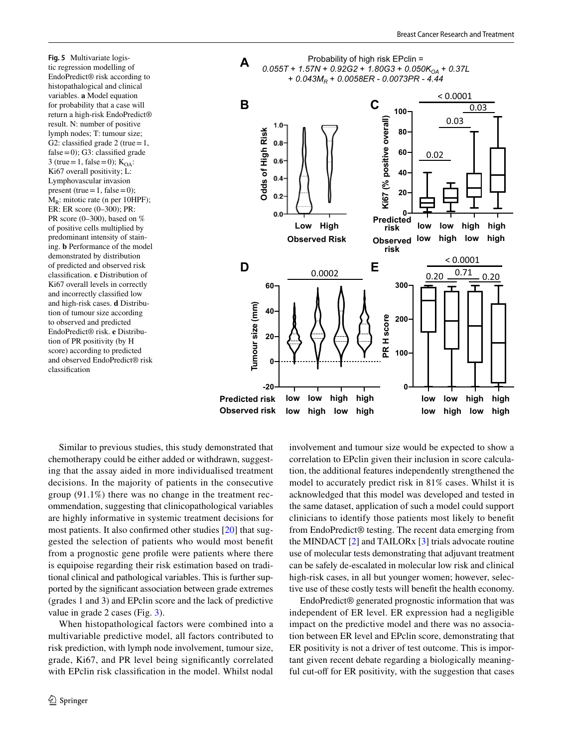<span id="page-7-0"></span>**Fig. 5** Multivariate logistic regression modelling of EndoPredict® risk according to histopathalogical and clinical variables. **a** Model equation for probability that a case will return a high-risk EndoPredict® result. N: number of positive lymph nodes; T: tumour size; G2: classified grade 2 (true =  $1$ , false = 0); G3: classified grade 3 (true = 1, false = 0);  $K<sub>OA</sub>$ : Ki67 overall positivity; L: Lymphovascular invasion present (true = 1, false = 0);  $M_R$ : mitotic rate (n per 10HPF); ER: ER score (0–300); PR: PR score (0–300), based on % of positive cells multiplied by predominant intensity of staining. **b** Performance of the model demonstrated by distribution of predicted and observed risk classifcation. **c** Distribution of Ki67 overall levels in correctly and incorrectly classifed low and high-risk cases. **d** Distribution of tumour size according to observed and predicted EndoPredict® risk. **e** Distribution of PR positivity (by H score) according to predicted and observed EndoPredict® risk classifcation



Similar to previous studies, this study demonstrated that chemotherapy could be either added or withdrawn, suggesting that the assay aided in more individualised treatment decisions. In the majority of patients in the consecutive group (91.1%) there was no change in the treatment recommendation, suggesting that clinicopathological variables are highly informative in systemic treatment decisions for most patients. It also confrmed other studies [[20](#page-10-1)] that suggested the selection of patients who would most beneft from a prognostic gene profle were patients where there is equipoise regarding their risk estimation based on traditional clinical and pathological variables. This is further supported by the signifcant association between grade extremes (grades 1 and 3) and EPclin score and the lack of predictive value in grade 2 cases (Fig. [3\)](#page-5-1).

When histopathological factors were combined into a multivariable predictive model, all factors contributed to risk prediction, with lymph node involvement, tumour size, grade, Ki67, and PR level being signifcantly correlated with EPclin risk classifcation in the model. Whilst nodal involvement and tumour size would be expected to show a correlation to EPclin given their inclusion in score calculation, the additional features independently strengthened the model to accurately predict risk in 81% cases. Whilst it is acknowledged that this model was developed and tested in the same dataset, application of such a model could support clinicians to identify those patients most likely to beneft from EndoPredict® testing. The recent data emerging from the MINDACT [\[2](#page-9-1)] and TAILORx [[3\]](#page-9-2) trials advocate routine use of molecular tests demonstrating that adjuvant treatment can be safely de-escalated in molecular low risk and clinical high-risk cases, in all but younger women; however, selective use of these costly tests will beneft the health economy.

EndoPredict® generated prognostic information that was independent of ER level. ER expression had a negligible impact on the predictive model and there was no association between ER level and EPclin score, demonstrating that ER positivity is not a driver of test outcome. This is important given recent debate regarding a biologically meaningful cut-off for ER positivity, with the suggestion that cases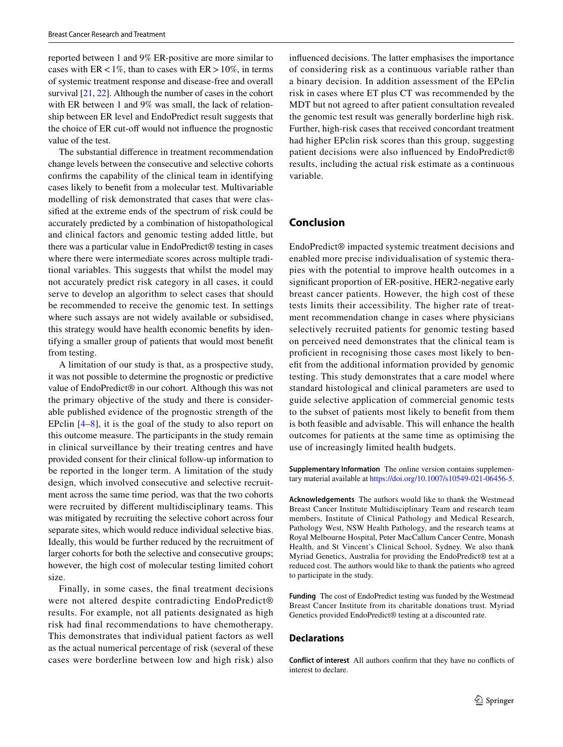reported between 1 and 9% ER-positive are more similar to cases with  $ER < 1\%$ , than to cases with  $ER > 10\%$ , in terms of systemic treatment response and disease-free and overall survival [\[21,](#page-10-2) [22](#page-10-3)]. Although the number of cases in the cohort with ER between 1 and 9% was small, the lack of relationship between ER level and EndoPredict result suggests that the choice of ER cut-off would not influence the prognostic value of the test.

The substantial diference in treatment recommendation change levels between the consecutive and selective cohorts confrms the capability of the clinical team in identifying cases likely to beneft from a molecular test. Multivariable modelling of risk demonstrated that cases that were classifed at the extreme ends of the spectrum of risk could be accurately predicted by a combination of histopathological and clinical factors and genomic testing added little, but there was a particular value in EndoPredict® testing in cases where there were intermediate scores across multiple traditional variables. This suggests that whilst the model may not accurately predict risk category in all cases, it could serve to develop an algorithm to select cases that should be recommended to receive the genomic test. In settings where such assays are not widely available or subsidised, this strategy would have health economic benefts by identifying a smaller group of patients that would most beneft from testing.

A limitation of our study is that, as a prospective study, it was not possible to determine the prognostic or predictive value of EndoPredict® in our cohort. Although this was not the primary objective of the study and there is considerable published evidence of the prognostic strength of the EPclin [\[4–](#page-9-3)[8\]](#page-9-4), it is the goal of the study to also report on this outcome measure. The participants in the study remain in clinical surveillance by their treating centres and have provided consent for their clinical follow-up information to be reported in the longer term. A limitation of the study design, which involved consecutive and selective recruitment across the same time period, was that the two cohorts were recruited by diferent multidisciplinary teams. This was mitigated by recruiting the selective cohort across four separate sites, which would reduce individual selective bias. Ideally, this would be further reduced by the recruitment of larger cohorts for both the selective and consecutive groups; however, the high cost of molecular testing limited cohort size.

Finally, in some cases, the fnal treatment decisions were not altered despite contradicting EndoPredict<sup>®</sup> results. For example, not all patients designated as high risk had fnal recommendations to have chemotherapy. This demonstrates that individual patient factors as well as the actual numerical percentage of risk (several of these cases were borderline between low and high risk) also infuenced decisions. The latter emphasises the importance of considering risk as a continuous variable rather than a binary decision. In addition assessment of the EPclin risk in cases where ET plus CT was recommended by the MDT but not agreed to after patient consultation revealed the genomic test result was generally borderline high risk. Further, high-risk cases that received concordant treatment had higher EPclin risk scores than this group, suggesting patient decisions were also infuenced by EndoPredict® results, including the actual risk estimate as a continuous variable.

# **Conclusion**

EndoPredict® impacted systemic treatment decisions and enabled more precise individualisation of systemic therapies with the potential to improve health outcomes in a signifcant proportion of ER-positive, HER2-negative early breast cancer patients. However, the high cost of these tests limits their accessibility. The higher rate of treatment recommendation change in cases where physicians selectively recruited patients for genomic testing based on perceived need demonstrates that the clinical team is profcient in recognising those cases most likely to beneft from the additional information provided by genomic testing. This study demonstrates that a care model where standard histological and clinical parameters are used to guide selective application of commercial genomic tests to the subset of patients most likely to beneft from them is both feasible and advisable. This will enhance the health outcomes for patients at the same time as optimising the use of increasingly limited health budgets.

**Supplementary Information** The online version contains supplementary material available at<https://doi.org/10.1007/s10549-021-06456-5>.

**Acknowledgements** The authors would like to thank the Westmead Breast Cancer Institute Multidisciplinary Team and research team members, Institute of Clinical Pathology and Medical Research, Pathology West, NSW Health Pathology, and the research teams at Royal Melbourne Hospital, Peter MacCallum Cancer Centre, Monash Health, and St Vincent's Clinical School, Sydney. We also thank Myriad Genetics, Australia for providing the EndoPredict® test at a reduced cost. The authors would like to thank the patients who agreed to participate in the study.

**Funding** The cost of EndoPredict testing was funded by the Westmead Breast Cancer Institute from its charitable donations trust. Myriad Genetics provided EndoPredict® testing at a discounted rate.

#### **Declarations**

**Conflict of interest** All authors confrm that they have no conficts of interest to declare.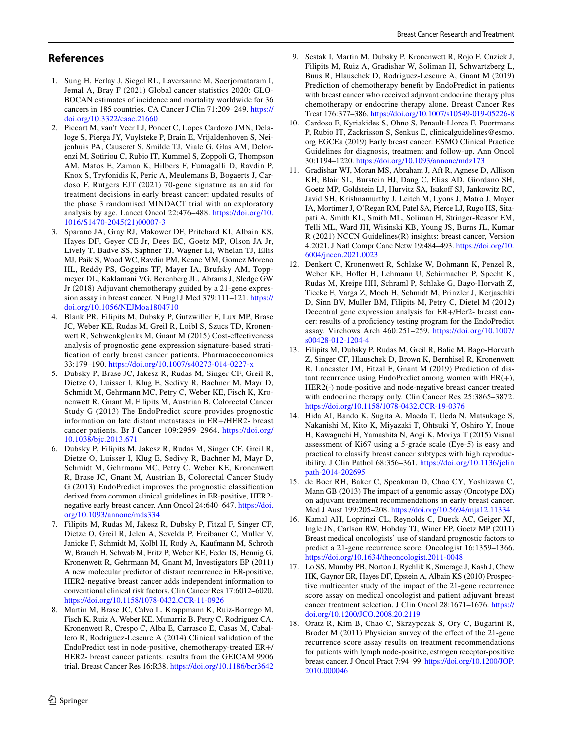# **References**

- <span id="page-9-0"></span>1. Sung H, Ferlay J, Siegel RL, Laversanne M, Soerjomataram I, Jemal A, Bray F (2021) Global cancer statistics 2020: GLO-BOCAN estimates of incidence and mortality worldwide for 36 cancers in 185 countries. CA Cancer J Clin 71:209–249. [https://](https://doi.org/10.3322/caac.21660) [doi.org/10.3322/caac.21660](https://doi.org/10.3322/caac.21660)
- <span id="page-9-1"></span>2. Piccart M, van't Veer LJ, Poncet C, Lopes Cardozo JMN, Delaloge S, Pierga JY, Vuylsteke P, Brain E, Vrijaldenhoven S, Neijenhuis PA, Causeret S, Smilde TJ, Viale G, Glas AM, Delorenzi M, Sotiriou C, Rubio IT, Kummel S, Zoppoli G, Thompson AM, Matos E, Zaman K, Hilbers F, Fumagalli D, Ravdin P, Knox S, Tryfonidis K, Peric A, Meulemans B, Bogaerts J, Cardoso F, Rutgers EJT (2021) 70-gene signature as an aid for treatment decisions in early breast cancer: updated results of the phase 3 randomised MINDACT trial with an exploratory analysis by age. Lancet Oncol 22:476–488. [https://doi.org/10.](https://doi.org/10.1016/S1470-2045(21)00007-3) [1016/S1470-2045\(21\)00007-3](https://doi.org/10.1016/S1470-2045(21)00007-3)
- <span id="page-9-2"></span>3. Sparano JA, Gray RJ, Makower DF, Pritchard KI, Albain KS, Hayes DF, Geyer CE Jr, Dees EC, Goetz MP, Olson JA Jr, Lively T, Badve SS, Saphner TJ, Wagner LI, Whelan TJ, Ellis MJ, Paik S, Wood WC, Ravdin PM, Keane MM, Gomez Moreno HL, Reddy PS, Goggins TF, Mayer IA, Brufsky AM, Toppmeyer DL, Kaklamani VG, Berenberg JL, Abrams J, Sledge GW Jr (2018) Adjuvant chemotherapy guided by a 21-gene expression assay in breast cancer. N Engl J Med 379:111–121. [https://](https://doi.org/10.1056/NEJMoa1804710) [doi.org/10.1056/NEJMoa1804710](https://doi.org/10.1056/NEJMoa1804710)
- <span id="page-9-3"></span>4. Blank PR, Filipits M, Dubsky P, Gutzwiller F, Lux MP, Brase JC, Weber KE, Rudas M, Greil R, Loibl S, Szucs TD, Kronenwett R, Schwenkglenks M, Gnant M (2015) Cost-efectiveness analysis of prognostic gene expression signature-based stratifcation of early breast cancer patients. Pharmacoeconomics 33:179–190. <https://doi.org/10.1007/s40273-014-0227-x>
- <span id="page-9-11"></span>5. Dubsky P, Brase JC, Jakesz R, Rudas M, Singer CF, Greil R, Dietze O, Luisser I, Klug E, Sedivy R, Bachner M, Mayr D, Schmidt M, Gehrmann MC, Petry C, Weber KE, Fisch K, Kronenwett R, Gnant M, Filipits M, Austrian B, Colorectal Cancer Study G (2013) The EndoPredict score provides prognostic information on late distant metastases in ER+/HER2- breast cancer patients. Br J Cancer 109:2959–2964. [https://doi.org/](https://doi.org/10.1038/bjc.2013.671) [10.1038/bjc.2013.671](https://doi.org/10.1038/bjc.2013.671)
- <span id="page-9-10"></span>6. Dubsky P, Filipits M, Jakesz R, Rudas M, Singer CF, Greil R, Dietze O, Luisser I, Klug E, Sedivy R, Bachner M, Mayr D, Schmidt M, Gehrmann MC, Petry C, Weber KE, Kronenwett R, Brase JC, Gnant M, Austrian B, Colorectal Cancer Study G (2013) EndoPredict improves the prognostic classifcation derived from common clinical guidelines in ER-positive, HER2 negative early breast cancer. Ann Oncol 24:640–647. [https://doi.](https://doi.org/10.1093/annonc/mds334) [org/10.1093/annonc/mds334](https://doi.org/10.1093/annonc/mds334)
- <span id="page-9-9"></span>7. Filipits M, Rudas M, Jakesz R, Dubsky P, Fitzal F, Singer CF, Dietze O, Greil R, Jelen A, Sevelda P, Freibauer C, Muller V, Janicke F, Schmidt M, Kolbl H, Rody A, Kaufmann M, Schroth W, Brauch H, Schwab M, Fritz P, Weber KE, Feder IS, Hennig G, Kronenwett R, Gehrmann M, Gnant M, Investigators EP (2011) A new molecular predictor of distant recurrence in ER-positive, HER2-negative breast cancer adds independent information to conventional clinical risk factors. Clin Cancer Res 17:6012–6020. <https://doi.org/10.1158/1078-0432.CCR-11-0926>
- <span id="page-9-4"></span>8. Martin M, Brase JC, Calvo L, Krappmann K, Ruiz-Borrego M, Fisch K, Ruiz A, Weber KE, Munarriz B, Petry C, Rodriguez CA, Kronenwett R, Crespo C, Alba E, Carrasco E, Casas M, Caballero R, Rodriguez-Lescure A (2014) Clinical validation of the EndoPredict test in node-positive, chemotherapy-treated ER+/ HER2- breast cancer patients: results from the GEICAM 9906 trial. Breast Cancer Res 16:R38.<https://doi.org/10.1186/bcr3642>
- <span id="page-9-6"></span><span id="page-9-5"></span>10. Cardoso F, Kyriakides S, Ohno S, Penault-Llorca F, Poortmans P, Rubio IT, Zackrisson S, Senkus E, clinicalguidelines@esmo. org EGCEa (2019) Early breast cancer: ESMO Clinical Practice Guidelines for diagnosis, treatment and follow-up. Ann Oncol 30:1194–1220.<https://doi.org/10.1093/annonc/mdz173>
- <span id="page-9-7"></span>11. Gradishar WJ, Moran MS, Abraham J, Aft R, Agnese D, Allison KH, Blair SL, Burstein HJ, Dang C, Elias AD, Giordano SH, Goetz MP, Goldstein LJ, Hurvitz SA, Isakoff SJ, Jankowitz RC, Javid SH, Krishnamurthy J, Leitch M, Lyons J, Matro J, Mayer IA, Mortimer J, O'Regan RM, Patel SA, Pierce LJ, Rugo HS, Sitapati A, Smith KL, Smith ML, Soliman H, Stringer-Reasor EM, Telli ML, Ward JH, Wisinski KB, Young JS, Burns JL, Kumar R (2021) NCCN Guidelines(R) insights: breast cancer, Version 4.2021. J Natl Compr Canc Netw 19:484–493. [https://doi.org/10.](https://doi.org/10.6004/jnccn.2021.0023) [6004/jnccn.2021.0023](https://doi.org/10.6004/jnccn.2021.0023)
- <span id="page-9-8"></span>12. Denkert C, Kronenwett R, Schlake W, Bohmann K, Penzel R, Weber KE, Hofler H, Lehmann U, Schirmacher P, Specht K, Rudas M, Kreipe HH, Schraml P, Schlake G, Bago-Horvath Z, Tiecke F, Varga Z, Moch H, Schmidt M, Prinzler J, Kerjaschki D, Sinn BV, Muller BM, Filipits M, Petry C, Dietel M (2012) Decentral gene expression analysis for ER+/Her2- breast cancer: results of a profciency testing program for the EndoPredict assay. Virchows Arch 460:251–259. [https://doi.org/10.1007/](https://doi.org/10.1007/s00428-012-1204-4) [s00428-012-1204-4](https://doi.org/10.1007/s00428-012-1204-4)
- <span id="page-9-12"></span>13. Filipits M, Dubsky P, Rudas M, Greil R, Balic M, Bago-Horvath Z, Singer CF, Hlauschek D, Brown K, Bernhisel R, Kronenwett R, Lancaster JM, Fitzal F, Gnant M (2019) Prediction of distant recurrence using EndoPredict among women with  $ER(+)$ , HER2(-) node-positive and node-negative breast cancer treated with endocrine therapy only. Clin Cancer Res 25:3865–3872. <https://doi.org/10.1158/1078-0432.CCR-19-0376>
- <span id="page-9-13"></span>14. Hida AI, Bando K, Sugita A, Maeda T, Ueda N, Matsukage S, Nakanishi M, Kito K, Miyazaki T, Ohtsuki Y, Oshiro Y, Inoue H, Kawaguchi H, Yamashita N, Aogi K, Moriya T (2015) Visual assessment of Ki67 using a 5-grade scale (Eye-5) is easy and practical to classify breast cancer subtypes with high reproducibility. J Clin Pathol 68:356–361. [https://doi.org/10.1136/jclin](https://doi.org/10.1136/jclinpath-2014-202695) [path-2014-202695](https://doi.org/10.1136/jclinpath-2014-202695)
- <span id="page-9-14"></span>15. de Boer RH, Baker C, Speakman D, Chao CY, Yoshizawa C, Mann GB (2013) The impact of a genomic assay (Oncotype DX) on adjuvant treatment recommendations in early breast cancer. Med J Aust 199:205–208. <https://doi.org/10.5694/mja12.11334>
- 16. Kamal AH, Loprinzi CL, Reynolds C, Dueck AC, Geiger XJ, Ingle JN, Carlson RW, Hobday TJ, Winer EP, Goetz MP (2011) Breast medical oncologists' use of standard prognostic factors to predict a 21-gene recurrence score. Oncologist 16:1359–1366. <https://doi.org/10.1634/theoncologist.2011-0048>
- 17. Lo SS, Mumby PB, Norton J, Rychlik K, Smerage J, Kash J, Chew HK, Gaynor ER, Hayes DF, Epstein A, Albain KS (2010) Prospective multicenter study of the impact of the 21-gene recurrence score assay on medical oncologist and patient adjuvant breast cancer treatment selection. J Clin Oncol 28:1671–1676. [https://](https://doi.org/10.1200/JCO.2008.20.2119) [doi.org/10.1200/JCO.2008.20.2119](https://doi.org/10.1200/JCO.2008.20.2119)
- <span id="page-9-15"></span>18. Oratz R, Kim B, Chao C, Skrzypczak S, Ory C, Bugarini R, Broder M (2011) Physician survey of the effect of the 21-gene recurrence score assay results on treatment recommendations for patients with lymph node-positive, estrogen receptor-positive breast cancer. J Oncol Pract 7:94–99. [https://doi.org/10.1200/JOP.](https://doi.org/10.1200/JOP.2010.000046) [2010.000046](https://doi.org/10.1200/JOP.2010.000046)